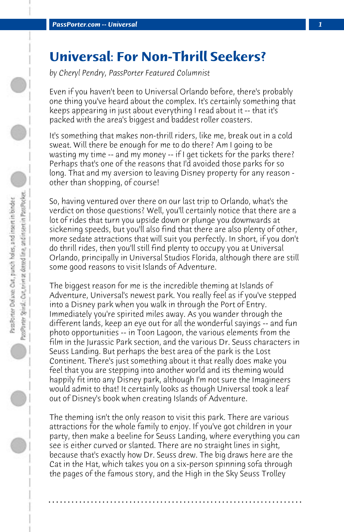## **Universal: For Non-Thrill Seekers?**

*by Cheryl Pendry, PassPorter Featured Columnist*

Even if you haven't been to Universal Orlando before, there's probably one thing you've heard about the complex. It's certainly something that keeps appearing in just about everything I read about it -- that it's packed with the area's biggest and baddest roller coasters.

It's something that makes non-thrill riders, like me, break out in a cold sweat. Will there be enough for me to do there? Am I going to be wasting my time -- and my money -- if I get tickets for the parks there? Perhaps that's one of the reasons that I'd avoided those parks for so long. That and my aversion to leaving Disney property for any reason other than shopping, of course!

So, having ventured over there on our last trip to Orlando, what's the verdict on those questions? Well, you'll certainly notice that there are a lot of rides that turn you upside down or plunge you downwards at sickening speeds, but you'll also find that there are also plenty of other, more sedate attractions that will suit you perfectly. In short, if you don't do thrill rides, then you'll still find plenty to occupy you at Universal Orlando, principally in Universal Studios Florida, although there are still some good reasons to visit Islands of Adventure.

The biggest reason for me is the incredible theming at Islands of Adventure, Universal's newest park. You really feel as if you've stepped into a Disney park when you walk in through the Port of Entry. Immediately you're spirited miles away. As you wander through the different lands, keep an eye out for all the wonderful sayings -- and fun photo opportunities -- in Toon Lagoon, the various elements from the film in the Jurassic Park section, and the various Dr. Seuss characters in Seuss Landing. But perhaps the best area of the park is the Lost Continent. There's just something about it that really does make you feel that you are stepping into another world and its theming would happily fit into any Disney park, although I'm not sure the Imagineers would admit to that! It certainly looks as though Universal took a leaf out of Disney's book when creating Islands of Adventure.

The theming isn't the only reason to visit this park. There are various attractions for the whole family to enjoy. If you've got children in your party, then make a beeline for Seuss Landing, where everything you can see is either curved or slanted. There are no straight lines in sight, because that's exactly how Dr. Seuss drew. The big draws here are the Cat in the Hat, which takes you on a six-person spinning sofa through the pages of the famous story, and the High in the Sky Seuss Trolley

**. . . . . . . . . . . . . . . . . . . . . . . . . . . . . . . . . . . . . . . . . . . . . . . . . . . . . . . . . . . . . . . . . .**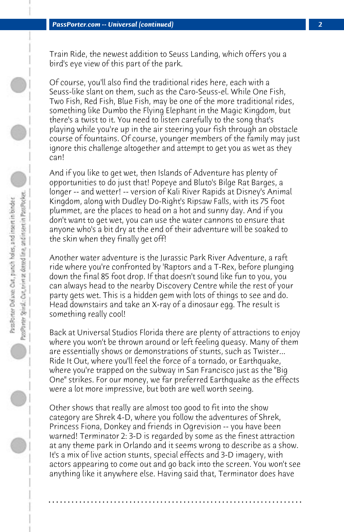Train Ride, the newest addition to Seuss Landing, which offers you a bird's eye view of this part of the park.

Of course, you'll also find the traditional rides here, each with a Seuss-like slant on them, such as the Caro-Seuss-el. While One Fish, Two Fish, Red Fish, Blue Fish, may be one of the more traditional rides, something like Dumbo the Flying Elephant in the Magic Kingdom, but there's a twist to it. You need to listen carefully to the song that's playing while you're up in the air steering your fish through an obstacle course of fountains. Of course, younger members of the family may just ignore this challenge altogether and attempt to get you as wet as they can!

And if you like to get wet, then Islands of Adventure has plenty of opportunities to do just that! Popeye and Bluto's Bilge Rat Barges, a longer -- and wetter! -- version of Kali River Rapids at Disney's Animal Kingdom, along with Dudley Do-Right's Ripsaw Falls, with its 75 foot plummet, are the places to head on a hot and sunny day. And if you don't want to get wet, you can use the water cannons to ensure that anyone who's a bit dry at the end of their adventure will be soaked to the skin when they finally get off!

Another water adventure is the Jurassic Park River Adventure, a raft ride where you're confronted by 'Raptors and a T-Rex, before plunging down the final 85 foot drop. If that doesn't sound like fun to you, you can always head to the nearby Discovery Centre while the rest of your party gets wet. This is a hidden gem with lots of things to see and do. Head downstairs and take an X-ray of a dinosaur egg. The result is something really cool!

Back at Universal Studios Florida there are plenty of attractions to enjoy where you won't be thrown around or left feeling queasy. Many of them are essentially shows or demonstrations of stunts, such as Twister... Ride It Out, where you'll feel the force of a tornado, or Earthquake, where you're trapped on the subway in San Francisco just as the "Big One" strikes. For our money, we far preferred Earthquake as the effects were a lot more impressive, but both are well worth seeing.

Other shows that really are almost too good to fit into the show category are Shrek 4-D, where you follow the adventures of Shrek, Princess Fiona, Donkey and friends in Ogrevision -- you have been warned! Terminator 2: 3-D is regarded by some as the finest attraction at any theme park in Orlando and it seems wrong to describe as a show. It's a mix of live action stunts, special effects and 3-D imagery, with actors appearing to come out and go back into the screen. You won't see anything like it anywhere else. Having said that, Terminator does have

**. . . . . . . . . . . . . . . . . . . . . . . . . . . . . . . . . . . . . . . . . . . . . . . . . . . . . . . . . . . . . . . . . .**